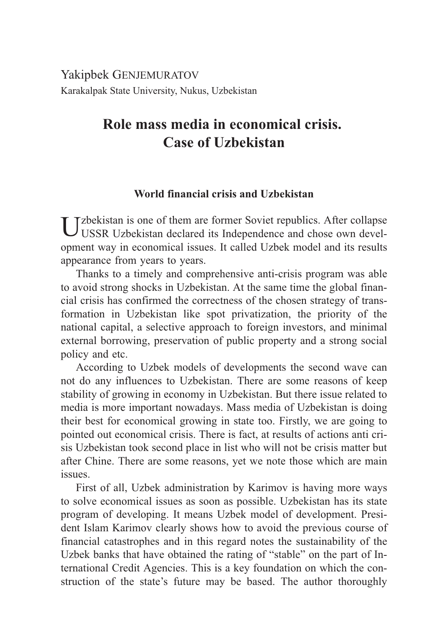# Yakipbek GENJEMURATOV Karakalpak State University, Nukus, Uzbekistan

# **Role mass media in economical crisis. Case of Uzbekistan**

## **World financial crisis and Uzbekistan**

 $\prod_{\text{TEQD}}$   $\prod_{\text{TEQD}}$  of them are former Soviet republics. After collapse USSR Uzbekistan declared its Independence and chose own development way in economical issues. It called Uzbek model and its results appearance from years to years.

Thanks to a timely and comprehensive anti-crisis program was able to avoid strong shocks in Uzbekistan. At the same time the global financial crisis has confirmed the correctness of the chosen strategy of transformation in Uzbekistan like spot privatization, the priority of the national capital, a selective approach to foreign investors, and minimal external borrowing, preservation of public property and a strong social policy and etc.

According to Uzbek models of developments the second wave can not do any influences to Uzbekistan. There are some reasons of keep stability of growing in economy in Uzbekistan. But there issue related to media is more important nowadays. Mass media of Uzbekistan is doing their best for economical growing in state too. Firstly, we are going to pointed out economical crisis. There is fact, at results of actions anti crisis Uzbekistan took second place in list who will not be crisis matter but after Chine. There are some reasons, yet we note those which are main issues.

First of all, Uzbek administration by Karimov is having more ways to solve economical issues as soon as possible. Uzbekistan has its state program of developing. It means Uzbek model of development. President Islam Karimov clearly shows how to avoid the previous course of financial catastrophes and in this regard notes the sustainability of the Uzbek banks that have obtained the rating of "stable" on the part of International Credit Agencies. This is a key foundation on which the construction of the state's future may be based. The author thoroughly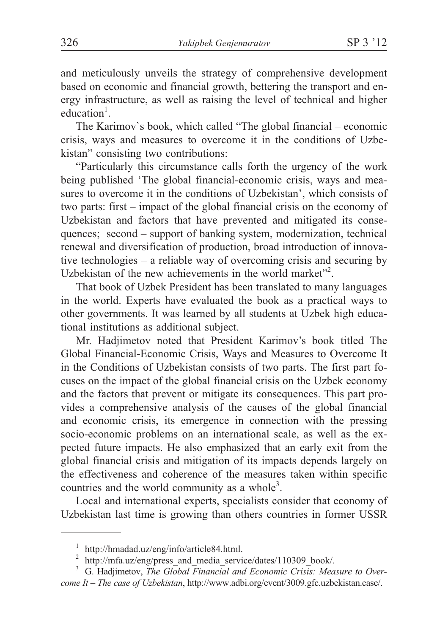and meticulously unveils the strategy of comprehensive development based on economic and financial growth, bettering the transport and energy infrastructure, as well as raising the level of technical and higher education<sup>1</sup>.

The Karimov`s book, which called "The global financial – economic crisis, ways and measures to overcome it in the conditions of Uzbekistan" consisting two contributions:

"Particularly this circumstance calls forth the urgency of the work being published 'The global financial-economic crisis, ways and measures to overcome it in the conditions of Uzbekistan', which consists of two parts: first – impact of the global financial crisis on the economy of Uzbekistan and factors that have prevented and mitigated its consequences; second – support of banking system, modernization, technical renewal and diversification of production, broad introduction of innovative technologies – a reliable way of overcoming crisis and securing by Uzbekistan of the new achievements in the world market"<sup>2</sup>.

That book of Uzbek President has been translated to many languages in the world. Experts have evaluated the book as a practical ways to other governments. It was learned by all students at Uzbek high educational institutions as additional subject.

Mr. Hadjimetov noted that President Karimov's book titled The Global Financial-Economic Crisis, Ways and Measures to Overcome It in the Conditions of Uzbekistan consists of two parts. The first part focuses on the impact of the global financial crisis on the Uzbek economy and the factors that prevent or mitigate its consequences. This part provides a comprehensive analysis of the causes of the global financial and economic crisis, its emergence in connection with the pressing socio-economic problems on an international scale, as well as the expected future impacts. He also emphasized that an early exit from the global financial crisis and mitigation of its impacts depends largely on the effectiveness and coherence of the measures taken within specific countries and the world community as a whole<sup>3</sup>.

Local and international experts, specialists consider that economy of Uzbekistan last time is growing than others countries in former USSR

<sup>1</sup> http://hmadad.uz/eng/info/article84.html. <sup>2</sup> http://mfa.uz/eng/press\_and\_media\_service/dates/110309\_book/. <sup>3</sup> G. Hadjimetov, *The Global Financial and Economic Crisis: Measure to Over-*

*come It – The case of Uzbekistan*, http://www.adbi.org/event/3009.gfc.uzbekistan.case/.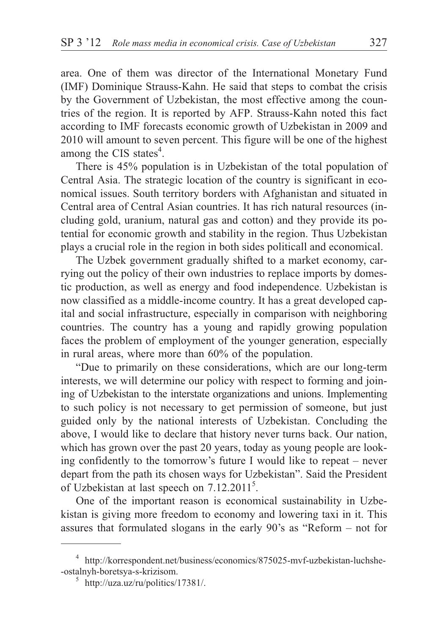area. One of them was director of the International Monetary Fund (IMF) Dominique Strauss-Kahn. He said that steps to combat the crisis by the Government of Uzbekistan, the most effective among the countries of the region. It is reported by AFP. Strauss-Kahn noted this fact according to IMF forecasts economic growth of Uzbekistan in 2009 and 2010 will amount to seven percent. This figure will be one of the highest among the CIS states<sup>4</sup>.

There is 45% population is in Uzbekistan of the total population of Central Asia. The strategic location of the country is significant in economical issues. South territory borders with Afghanistan and situated in Central area of Central Asian countries. It has rich natural resources (including gold, uranium, natural gas and cotton) and they provide its potential for economic growth and stability in the region. Thus Uzbekistan plays a crucial role in the region in both sides politicall and economical.

The Uzbek government gradually shifted to a market economy, carrying out the policy of their own industries to replace imports by domestic production, as well as energy and food independence. Uzbekistan is now classified as a middle-income country. It has a great developed capital and social infrastructure, especially in comparison with neighboring countries. The country has a young and rapidly growing population faces the problem of employment of the younger generation, especially in rural areas, where more than 60% of the population.

"Due to primarily on these considerations, which are our long-term interests, we will determine our policy with respect to forming and joining of Uzbekistan to the interstate organizations and unions. Implementing to such policy is not necessary to get permission of someone, but just guided only by the national interests of Uzbekistan. Concluding the above, I would like to declare that history never turns back. Our nation, which has grown over the past 20 years, today as young people are looking confidently to the tomorrow's future I would like to repeat – never depart from the path its chosen ways for Uzbekistan". Said the President of Uzbekistan at last speech on 7.12.2011<sup>5</sup>.

One of the important reason is economical sustainability in Uzbekistan is giving more freedom to economy and lowering taxi in it. This assures that formulated slogans in the early 90's as "Reform – not for

 $^4\,$ http://korrespondent.net/business/economics/875025-mvf-uzbekistan-luchshe-ostalnyh-boretsya-s-krizisom.

 $5$  http://uza.uz/ru/politics/17381/.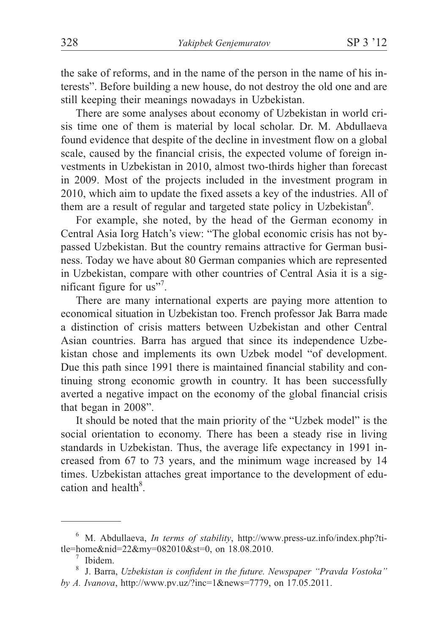the sake of reforms, and in the name of the person in the name of his interests". Before building a new house, do not destroy the old one and are still keeping their meanings nowadays in Uzbekistan.

There are some analyses about economy of Uzbekistan in world crisis time one of them is material by local scholar. Dr. M. Abdullaeva found evidence that despite of the decline in investment flow on a global scale, caused by the financial crisis, the expected volume of foreign investments in Uzbekistan in 2010, almost two-thirds higher than forecast in 2009. Most of the projects included in the investment program in 2010, which aim to update the fixed assets a key of the industries. All of them are a result of regular and targeted state policy in Uzbekistan<sup>6</sup>.

For example, she noted, by the head of the German economy in Central Asia Iorg Hatch's view: "The global economic crisis has not bypassed Uzbekistan. But the country remains attractive for German business. Today we have about 80 German companies which are represented in Uzbekistan, compare with other countries of Central Asia it is a significant figure for us"<sup>7</sup>.

There are many international experts are paying more attention to economical situation in Uzbekistan too. French professor Jak Barra made a distinction of crisis matters between Uzbekistan and other Central Asian countries. Barra has argued that since its independence Uzbekistan chose and implements its own Uzbek model "of development. Due this path since 1991 there is maintained financial stability and continuing strong economic growth in country. It has been successfully averted a negative impact on the economy of the global financial crisis that began in 2008".

It should be noted that the main priority of the "Uzbek model" is the social orientation to economy. There has been a steady rise in living standards in Uzbekistan. Thus, the average life expectancy in 1991 increased from 67 to 73 years, and the minimum wage increased by 14 times. Uzbekistan attaches great importance to the development of education and health<sup>8</sup>.

<sup>6</sup> M. Abdullaeva, *In terms of stability*, http://www.press-uz.info/index.php?title=home&nid=22&my=082010&st=0, on 18.08.2010.<br><sup>7</sup> Ibidem.<br><sup>8</sup> J. Barra, *Uzbekistan is confident in the future. Newspaper "Pravda Vostoka"* 

*by A. Ivanova*, http://www.pv.uz/?inc=1&news=7779, on 17.05.2011.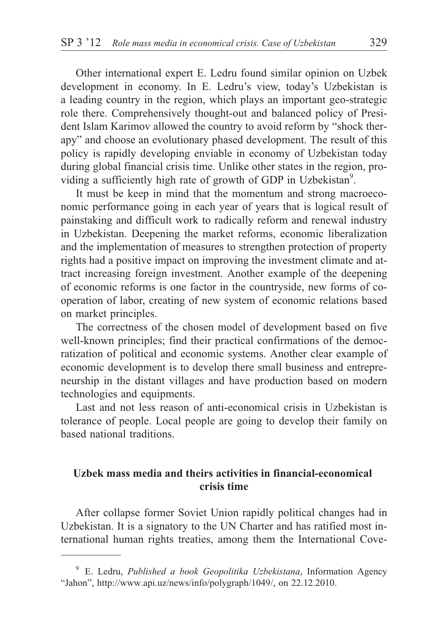Other international expert E. Ledru found similar opinion on Uzbek development in economy. In E. Ledru's view, today's Uzbekistan is a leading country in the region, which plays an important geo-strategic role there. Comprehensively thought-out and balanced policy of President Islam Karimov allowed the country to avoid reform by "shock therapy" and choose an evolutionary phased development. The result of this policy is rapidly developing enviable in economy of Uzbekistan today during global financial crisis time. Unlike other states in the region, providing a sufficiently high rate of growth of GDP in Uzbekistan<sup>9</sup>.

It must be keep in mind that the momentum and strong macroeconomic performance going in each year of years that is logical result of painstaking and difficult work to radically reform and renewal industry in Uzbekistan. Deepening the market reforms, economic liberalization and the implementation of measures to strengthen protection of property rights had a positive impact on improving the investment climate and attract increasing foreign investment. Another example of the deepening of economic reforms is one factor in the countryside, new forms of cooperation of labor, creating of new system of economic relations based on market principles.

The correctness of the chosen model of development based on five well-known principles; find their practical confirmations of the democratization of political and economic systems. Another clear example of economic development is to develop there small business and entrepreneurship in the distant villages and have production based on modern technologies and equipments.

Last and not less reason of anti-economical crisis in Uzbekistan is tolerance of people. Local people are going to develop their family on based national traditions.

## **Uzbek mass media and theirs activities in financial-economical crisis time**

After collapse former Soviet Union rapidly political changes had in Uzbekistan. It is a signatory to the UN Charter and has ratified most international human rights treaties, among them the International Cove-

<sup>9</sup> E. Ledru, *Published a book Geopolitika Uzbekistana*, Information Agency "Jahon", http://www.api.uz/news/info/polygraph/1049/, on 22.12.2010.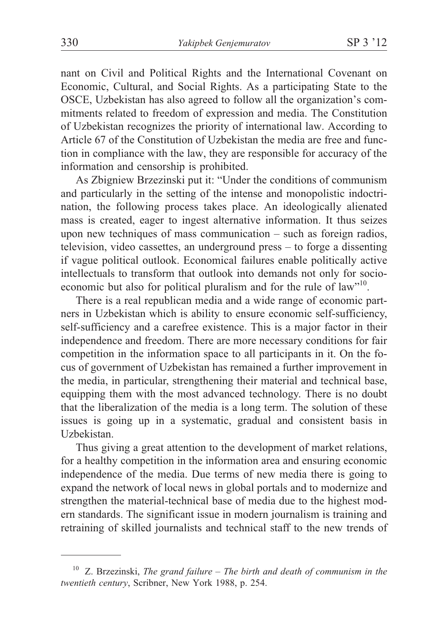nant on Civil and Political Rights and the International Covenant on Economic, Cultural, and Social Rights. As a participating State to the OSCE, Uzbekistan has also agreed to follow all the organization's commitments related to freedom of expression and media. The Constitution of Uzbekistan recognizes the priority of international law. According to Article 67 of the Constitution of Uzbekistan the media are free and function in compliance with the law, they are responsible for accuracy of the information and censorship is prohibited.

As Zbigniew Brzezinski put it: "Under the conditions of communism and particularly in the setting of the intense and monopolistic indoctrination, the following process takes place. An ideologically alienated mass is created, eager to ingest alternative information. It thus seizes upon new techniques of mass communication – such as foreign radios, television, video cassettes, an underground press – to forge a dissenting if vague political outlook. Economical failures enable politically active intellectuals to transform that outlook into demands not only for socioeconomic but also for political pluralism and for the rule of law"<sup>10</sup>.

There is a real republican media and a wide range of economic partners in Uzbekistan which is ability to ensure economic self-sufficiency, self-sufficiency and a carefree existence. This is a major factor in their independence and freedom. There are more necessary conditions for fair competition in the information space to all participants in it. On the focus of government of Uzbekistan has remained a further improvement in the media, in particular, strengthening their material and technical base, equipping them with the most advanced technology. There is no doubt that the liberalization of the media is a long term. The solution of these issues is going up in a systematic, gradual and consistent basis in Uzbekistan.

Thus giving a great attention to the development of market relations, for a healthy competition in the information area and ensuring economic independence of the media. Due terms of new media there is going to expand the network of local news in global portals and to modernize and strengthen the material-technical base of media due to the highest modern standards. The significant issue in modern journalism is training and retraining of skilled journalists and technical staff to the new trends of

<sup>10</sup> Z. Brzezinski, *The grand failure – The birth and death of communism in the twentieth century*, Scribner, New York 1988, p. 254.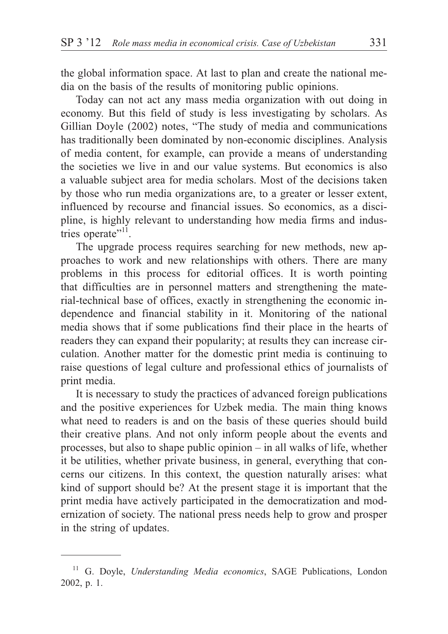the global information space. At last to plan and create the national media on the basis of the results of monitoring public opinions.

Today can not act any mass media organization with out doing in economy. But this field of study is less investigating by scholars. As Gillian Doyle (2002) notes, "The study of media and communications has traditionally been dominated by non-economic disciplines. Analysis of media content, for example, can provide a means of understanding the societies we live in and our value systems. But economics is also a valuable subject area for media scholars. Most of the decisions taken by those who run media organizations are, to a greater or lesser extent, influenced by recourse and financial issues. So economics, as a discipline, is highly relevant to understanding how media firms and industries operate"<sup>11</sup>.

The upgrade process requires searching for new methods, new approaches to work and new relationships with others. There are many problems in this process for editorial offices. It is worth pointing that difficulties are in personnel matters and strengthening the material-technical base of offices, exactly in strengthening the economic independence and financial stability in it. Monitoring of the national media shows that if some publications find their place in the hearts of readers they can expand their popularity; at results they can increase circulation. Another matter for the domestic print media is continuing to raise questions of legal culture and professional ethics of journalists of print media.

It is necessary to study the practices of advanced foreign publications and the positive experiences for Uzbek media. The main thing knows what need to readers is and on the basis of these queries should build their creative plans. And not only inform people about the events and processes, but also to shape public opinion – in all walks of life, whether it be utilities, whether private business, in general, everything that concerns our citizens. In this context, the question naturally arises: what kind of support should be? At the present stage it is important that the print media have actively participated in the democratization and modernization of society. The national press needs help to grow and prosper in the string of updates.

<sup>11</sup> G. Doyle, *Understanding Media economics*, SAGE Publications, London 2002, p. 1.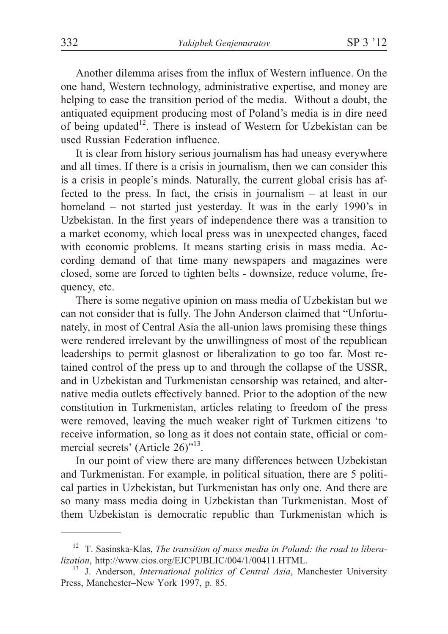Another dilemma arises from the influx of Western influence. On the one hand, Western technology, administrative expertise, and money are helping to ease the transition period of the media. Without a doubt, the antiquated equipment producing most of Poland's media is in dire need of being updated<sup>12</sup>. There is instead of Western for Uzbekistan can be used Russian Federation influence.

It is clear from history serious journalism has had uneasy everywhere and all times. If there is a crisis in journalism, then we can consider this is a crisis in people's minds. Naturally, the current global crisis has affected to the press. In fact, the crisis in journalism – at least in our homeland – not started just yesterday. It was in the early 1990's in Uzbekistan. In the first years of independence there was a transition to a market economy, which local press was in unexpected changes, faced with economic problems. It means starting crisis in mass media. According demand of that time many newspapers and magazines were closed, some are forced to tighten belts - downsize, reduce volume, frequency, etc.

There is some negative opinion on mass media of Uzbekistan but we can not consider that is fully. The John Anderson claimed that "Unfortunately, in most of Central Asia the all-union laws promising these things were rendered irrelevant by the unwillingness of most of the republican leaderships to permit glasnost or liberalization to go too far. Most retained control of the press up to and through the collapse of the USSR, and in Uzbekistan and Turkmenistan censorship was retained, and alternative media outlets effectively banned. Prior to the adoption of the new constitution in Turkmenistan, articles relating to freedom of the press were removed, leaving the much weaker right of Turkmen citizens 'to receive information, so long as it does not contain state, official or commercial secrets' (Article 26)"<sup>13</sup>.

In our point of view there are many differences between Uzbekistan and Turkmenistan. For example, in political situation, there are 5 political parties in Uzbekistan, but Turkmenistan has only one. And there are so many mass media doing in Uzbekistan than Turkmenistan. Most of them Uzbekistan is democratic republic than Turkmenistan which is

<sup>12</sup> T. Sasinska-Klas, *The transition of mass media in Poland: the road to liberalization*, http://www.cios.org/EJCPUBLIC/004/1/00411.HTML.<br><sup>13</sup> J. Anderson, *International politics of Central Asia*, Manchester University

Press, Manchester–New York 1997, p. 85.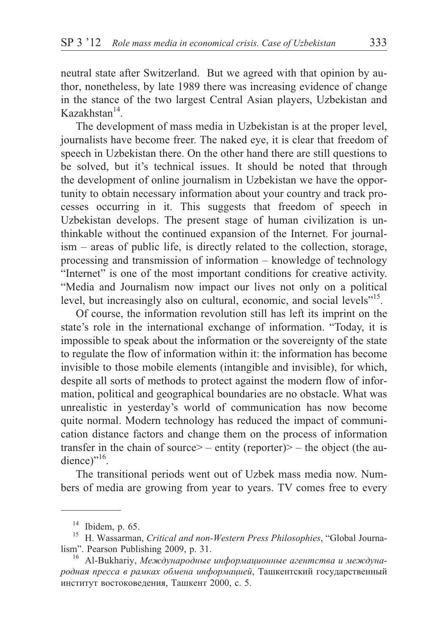neutral state after Switzerland. But we agreed with that opinion by author, nonetheless, by late 1989 there was increasing evidence of change in the stance of the two largest Central Asian players, Uzbekistan and  $K$ azakhstan $^{14}$ .

The development of mass media in Uzbekistan is at the proper level, journalists have become freer. The naked eye, it is clear that freedom of speech in Uzbekistan there. On the other hand there are still questions to be solved, but it's technical issues. It should be noted that through the development of online journalism in Uzbekistan we have the opportunity to obtain necessary information about your country and track processes occurring in it. This suggests that freedom of speech in Uzbekistan develops. The present stage of human civilization is unthinkable without the continued expansion of the Internet. For journalism – areas of public life, is directly related to the collection, storage, processing and transmission of information – knowledge of technology "Internet" is one of the most important conditions for creative activity. "Media and Journalism now impact our lives not only on a political level, but increasingly also on cultural, economic, and social levels<sup>"15</sup>.

Of course, the information revolution still has left its imprint on the state's role in the international exchange of information. "Today, it is impossible to speak about the information or the sovereignty of the state to regulate the flow of information within it: the information has become invisible to those mobile elements (intangible and invisible), for which, despite all sorts of methods to protect against the modern flow of information, political and geographical boundaries are no obstacle. What was unrealistic in yesterday's world of communication has now become quite normal. Modern technology has reduced the impact of communication distance factors and change them on the process of information transfer in the chain of source  $> -$  entity (reporter)  $> -$  the object (the audience)" $^{16}$ .

The transitional periods went out of Uzbek mass media now. Numbers of media are growing from year to years. TV comes free to every

<sup>&</sup>lt;sup>14</sup> Ibidem, p. 65.<br><sup>15</sup> H. Wassarman, *Critical and non-Western Press Philosophies*, "Global Journalism". Pearson Publishing 2009, p. 31.<br><sup>16</sup> Al-Bukhariy, *Международные информационные агентства и междуна*-

родная пресса в рамках обмена информацией, Ташкентский государственный институт востоковедения, Ташкент 2000, с. 5.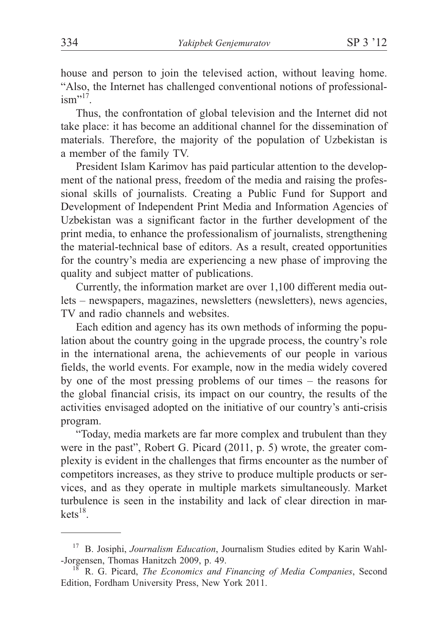house and person to join the televised action, without leaving home. "Also, the Internet has challenged conventional notions of professional- $\text{ism}$ <sup>217</sup>.

Thus, the confrontation of global television and the Internet did not take place: it has become an additional channel for the dissemination of materials. Therefore, the majority of the population of Uzbekistan is a member of the family TV.

President Islam Karimov has paid particular attention to the development of the national press, freedom of the media and raising the professional skills of journalists. Creating a Public Fund for Support and Development of Independent Print Media and Information Agencies of Uzbekistan was a significant factor in the further development of the print media, to enhance the professionalism of journalists, strengthening the material-technical base of editors. As a result, created opportunities for the country's media are experiencing a new phase of improving the quality and subject matter of publications.

Currently, the information market are over 1,100 different media outlets – newspapers, magazines, newsletters (newsletters), news agencies, TV and radio channels and websites.

Each edition and agency has its own methods of informing the population about the country going in the upgrade process, the country's role in the international arena, the achievements of our people in various fields, the world events. For example, now in the media widely covered by one of the most pressing problems of our times – the reasons for the global financial crisis, its impact on our country, the results of the activities envisaged adopted on the initiative of our country's anti-crisis program.

"Today, media markets are far more complex and trubulent than they were in the past", Robert G. Picard (2011, p. 5) wrote, the greater complexity is evident in the challenges that firms encounter as the number of competitors increases, as they strive to produce multiple products or services, and as they operate in multiple markets simultaneously. Market turbulence is seen in the instability and lack of clear direction in mar $kets<sup>18</sup>$ .

<sup>&</sup>lt;sup>17</sup> B. Josiphi, *Journalism Education*, Journalism Studies edited by Karin Wahl--Jorgensen, Thomas Hanitzch 2009, p. 49. <sup>18</sup> R. G. Picard, *The Economics and Financing of Media Companies*, Second

Edition, Fordham University Press, New York 2011.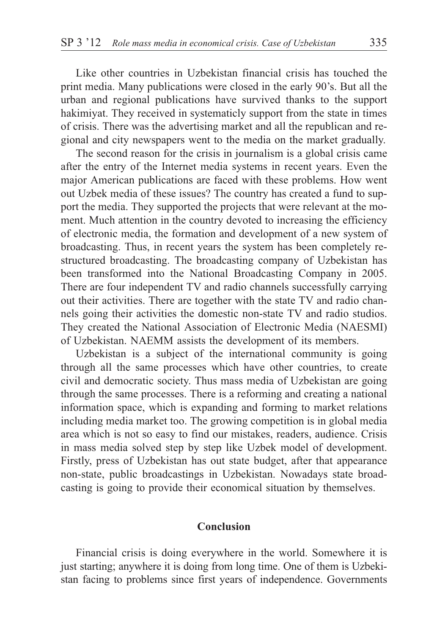Like other countries in Uzbekistan financial crisis has touched the print media. Many publications were closed in the early 90's. But all the urban and regional publications have survived thanks to the support hakimiyat. They received in systematicly support from the state in times of crisis. There was the advertising market and all the republican and regional and city newspapers went to the media on the market gradually.

The second reason for the crisis in journalism is a global crisis came after the entry of the Internet media systems in recent years. Even the major American publications are faced with these problems. How went out Uzbek media of these issues? The country has created a fund to support the media. They supported the projects that were relevant at the moment. Much attention in the country devoted to increasing the efficiency of electronic media, the formation and development of a new system of broadcasting. Thus, in recent years the system has been completely restructured broadcasting. The broadcasting company of Uzbekistan has been transformed into the National Broadcasting Company in 2005. There are four independent TV and radio channels successfully carrying out their activities. There are together with the state TV and radio channels going their activities the domestic non-state TV and radio studios. They created the National Association of Electronic Media (NAESMI) of Uzbekistan. NAEMM assists the development of its members.

Uzbekistan is a subject of the international community is going through all the same processes which have other countries, to create civil and democratic society. Thus mass media of Uzbekistan are going through the same processes. There is a reforming and creating a national information space, which is expanding and forming to market relations including media market too. The growing competition is in global media area which is not so easy to find our mistakes, readers, audience. Crisis in mass media solved step by step like Uzbek model of development. Firstly, press of Uzbekistan has out state budget, after that appearance non-state, public broadcastings in Uzbekistan. Nowadays state broadcasting is going to provide their economical situation by themselves.

### **Conclusion**

Financial crisis is doing everywhere in the world. Somewhere it is just starting; anywhere it is doing from long time. One of them is Uzbekistan facing to problems since first years of independence. Governments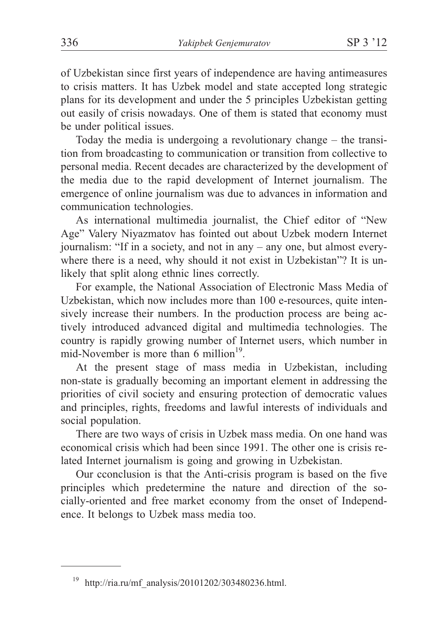of Uzbekistan since first years of independence are having antimeasures to crisis matters. It has Uzbek model and state accepted long strategic plans for its development and under the 5 principles Uzbekistan getting out easily of crisis nowadays. One of them is stated that economy must be under political issues.

Today the media is undergoing a revolutionary change – the transition from broadcasting to communication or transition from collective to personal media. Recent decades are characterized by the development of the media due to the rapid development of Internet journalism. The emergence of online journalism was due to advances in information and communication technologies.

As international multimedia journalist, the Chief editor of "New Age" Valery Niyazmatov has fointed out about Uzbek modern Internet journalism: "If in a society, and not in any – any one, but almost everywhere there is a need, why should it not exist in Uzbekistan"? It is unlikely that split along ethnic lines correctly.

For example, the National Association of Electronic Mass Media of Uzbekistan, which now includes more than 100 e-resources, quite intensively increase their numbers. In the production process are being actively introduced advanced digital and multimedia technologies. The country is rapidly growing number of Internet users, which number in mid-November is more than  $6$  million<sup>19</sup>.

At the present stage of mass media in Uzbekistan, including non-state is gradually becoming an important element in addressing the priorities of civil society and ensuring protection of democratic values and principles, rights, freedoms and lawful interests of individuals and social population.

There are two ways of crisis in Uzbek mass media. On one hand was economical crisis which had been since 1991. The other one is crisis related Internet journalism is going and growing in Uzbekistan.

Our cconclusion is that the Anti-crisis program is based on the five principles which predetermine the nature and direction of the socially-oriented and free market economy from the onset of Independence. It belongs to Uzbek mass media too.

<sup>19</sup> http://ria.ru/mf\_analysis/20101202/303480236.html.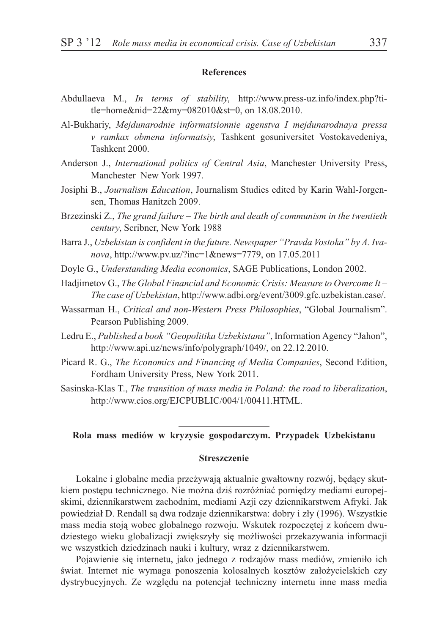#### **References**

- Abdullaeva M., *In terms of stability*, http://www.press-uz.info/index.php?title=home&nid=22&my=082010&st=0, on 18.08.2010.
- Al-Bukhariy, *Mejdunarodnie informatsionnie agenstva I mejdunarodnaya pressa v ramkax obmena informatsiy*, Tashkent gosuniversitet Vostokavedeniya, Tashkent 2000.
- Anderson J., *International politics of Central Asia*, Manchester University Press, Manchester–New York 1997.
- Josiphi B., *Journalism Education*, Journalism Studies edited by Karin Wahl-Jorgensen, Thomas Hanitzch 2009.
- Brzezinski Z., *The grand failure The birth and death of communism in the twentieth century*, Scribner, New York 1988
- Barra J., *Uzbekistan is confident in the future. Newspaper "Pravda Vostoka" by A. Ivanova*, http://www.pv.uz/?inc=1&news=7779, on 17.05.2011
- Doyle G., *Understanding Media economics*, SAGE Publications, London 2002.
- Hadjimetov G., *The Global Financial and Economic Crisis: Measure to Overcome It – The case of Uzbekistan*, http://www.adbi.org/event/3009.gfc.uzbekistan.case/.
- Wassarman H., *Critical and non-Western Press Philosophies*, "Global Journalism". Pearson Publishing 2009.
- Ledru E., *Published a book "Geopolitika Uzbekistana"*, Information Agency "Jahon", http://www.api.uz/news/info/polygraph/1049/, on 22.12.2010.
- Picard R. G., *The Economics and Financing of Media Companies*, Second Edition, Fordham University Press, New York 2011.
- Sasinska-Klas T., *The transition of mass media in Poland: the road to liberalization*, http://www.cios.org/EJCPUBLIC/004/1/00411.HTML.

## **Rola mass mediów w kryzysie gospodarczym. Przypadek Uzbekistanu**

#### **Streszczenie**

Lokalne i globalne media przeżywają aktualnie gwałtowny rozwój, będący skutkiem postepu technicznego. Nie można dziś rozróżniać pomiedzy mediami europejskimi, dziennikarstwem zachodnim, mediami Azji czy dziennikarstwem Afryki. Jak powiedział D. Rendall są dwa rodzaje dziennikarstwa: dobry i zły (1996). Wszystkie mass media stoja wobec globalnego rozwoju. Wskutek rozpoczętej z końcem dwudziestego wieku globalizacji zwiększyły się możliwości przekazywania informacji we wszystkich dziedzinach nauki i kultury, wraz z dziennikarstwem.

Pojawienie się internetu, jako jednego z rodzajów mass mediów, zmieniło ich świat. Internet nie wymaga ponoszenia kolosalnych kosztów założycielskich czy dystrybucyjnych. Ze względu na potencjał techniczny internetu inne mass media